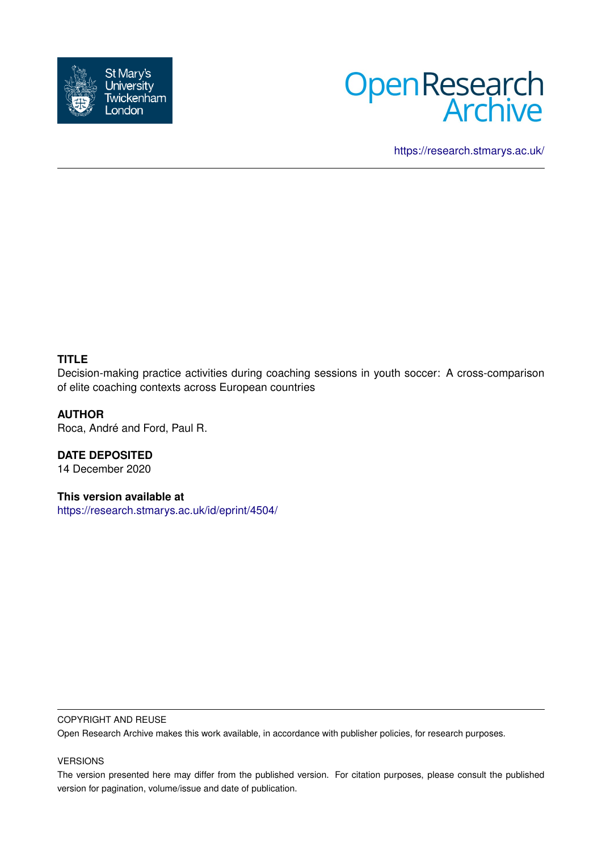



<https://research.stmarys.ac.uk/>

# **TITLE**

Decision-making practice activities during coaching sessions in youth soccer: A cross-comparison of elite coaching contexts across European countries

## **AUTHOR**

Roca, André and Ford, Paul R.

**DATE DEPOSITED** 14 December 2020

**This version available at**

<https://research.stmarys.ac.uk/id/eprint/4504/>

#### COPYRIGHT AND REUSE

Open Research Archive makes this work available, in accordance with publisher policies, for research purposes.

## VERSIONS

The version presented here may differ from the published version. For citation purposes, please consult the published version for pagination, volume/issue and date of publication.